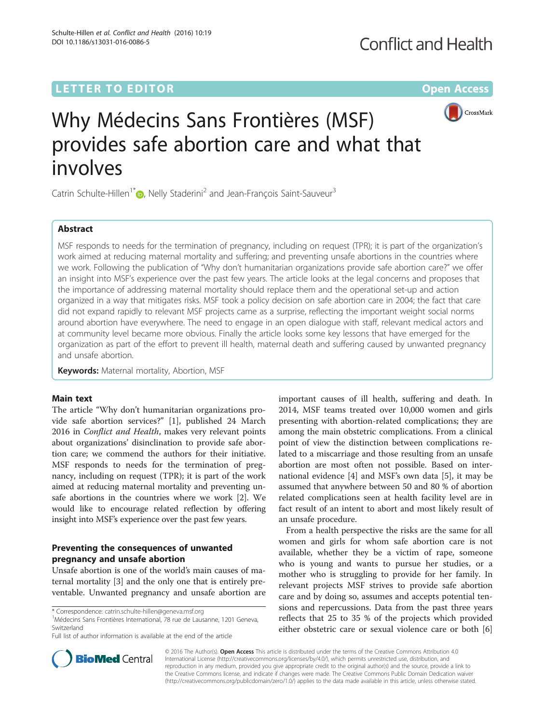# **LETTER TO EDITOR CONSIDERING ACCESS**

DOI 10.1186/s13031-016-0086-5

Schulte-Hillen et al. Conflict and Health (2016) 10:19



# Why Médecins Sans Frontières (MSF) provides safe abortion care and what that involves

Catrin Schulte-Hillen<sup>1[\\*](http://orcid.org/0000-0002-2192-2528)</sup><sup>D</sup>, Nelly Staderini<sup>2</sup> and Jean-François Saint-Sauveur<sup>3</sup>

# Abstract

MSF responds to needs for the termination of pregnancy, including on request (TPR); it is part of the organization's work aimed at reducing maternal mortality and suffering; and preventing unsafe abortions in the countries where we work. Following the publication of "Why don't humanitarian organizations provide safe abortion care?" we offer an insight into MSF's experience over the past few years. The article looks at the legal concerns and proposes that the importance of addressing maternal mortality should replace them and the operational set-up and action organized in a way that mitigates risks. MSF took a policy decision on safe abortion care in 2004; the fact that care did not expand rapidly to relevant MSF projects came as a surprise, reflecting the important weight social norms around abortion have everywhere. The need to engage in an open dialogue with staff, relevant medical actors and at community level became more obvious. Finally the article looks some key lessons that have emerged for the organization as part of the effort to prevent ill health, maternal death and suffering caused by unwanted pregnancy and unsafe abortion.

Keywords: Maternal mortality, Abortion, MSF

# Main text

The article "Why don't humanitarian organizations provide safe abortion services?" [[1\]](#page-3-0), published 24 March 2016 in Conflict and Health, makes very relevant points about organizations' disinclination to provide safe abortion care; we commend the authors for their initiative. MSF responds to needs for the termination of pregnancy, including on request (TPR); it is part of the work aimed at reducing maternal mortality and preventing unsafe abortions in the countries where we work [[2\]](#page-3-0). We would like to encourage related reflection by offering insight into MSF's experience over the past few years.

# Preventing the consequences of unwanted pregnancy and unsafe abortion

Unsafe abortion is one of the world's main causes of maternal mortality [\[3\]](#page-3-0) and the only one that is entirely preventable. Unwanted pregnancy and unsafe abortion are

Médecins Sans Frontières International, 78 rue de Lausanne, 1201 Geneva, Switzerland

Full list of author information is available at the end of the article

important causes of ill health, suffering and death. In 2014, MSF teams treated over 10,000 women and girls presenting with abortion-related complications; they are among the main obstetric complications. From a clinical point of view the distinction between complications related to a miscarriage and those resulting from an unsafe abortion are most often not possible. Based on international evidence [\[4](#page-3-0)] and MSF's own data [[5\]](#page-3-0), it may be assumed that anywhere between 50 and 80 % of abortion related complications seen at health facility level are in fact result of an intent to abort and most likely result of an unsafe procedure.

From a health perspective the risks are the same for all women and girls for whom safe abortion care is not available, whether they be a victim of rape, someone who is young and wants to pursue her studies, or a mother who is struggling to provide for her family. In relevant projects MSF strives to provide safe abortion care and by doing so, assumes and accepts potential tensions and repercussions. Data from the past three years reflects that 25 to 35 % of the projects which provided either obstetric care or sexual violence care or both [\[6](#page-3-0)]



© 2016 The Author(s). Open Access This article is distributed under the terms of the Creative Commons Attribution 4.0 International License [\(http://creativecommons.org/licenses/by/4.0/](http://creativecommons.org/licenses/by/4.0/)), which permits unrestricted use, distribution, and reproduction in any medium, provided you give appropriate credit to the original author(s) and the source, provide a link to the Creative Commons license, and indicate if changes were made. The Creative Commons Public Domain Dedication waiver [\(http://creativecommons.org/publicdomain/zero/1.0/](http://creativecommons.org/publicdomain/zero/1.0/)) applies to the data made available in this article, unless otherwise stated.

<sup>\*</sup> Correspondence: [catrin.schulte-hillen@geneva.msf.org](mailto:catrin.schulte-hillen@geneva.msf.org) <sup>1</sup>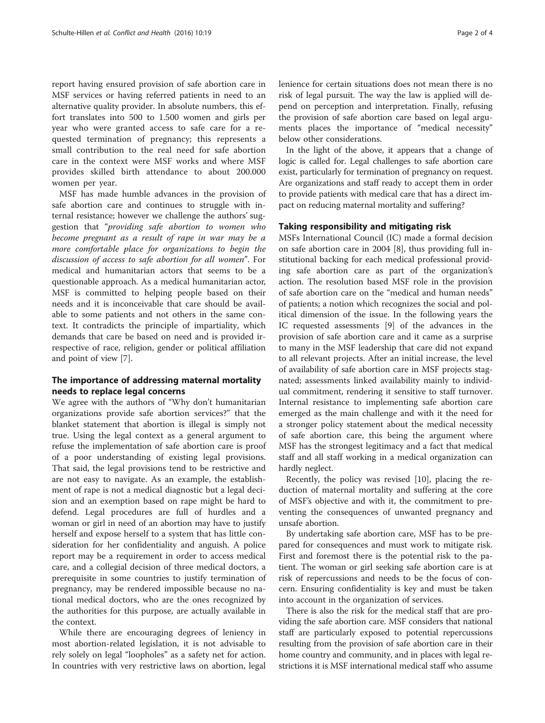report having ensured provision of safe abortion care in MSF services or having referred patients in need to an alternative quality provider. In absolute numbers, this effort translates into 500 to 1.500 women and girls per year who were granted access to safe care for a requested termination of pregnancy; this represents a small contribution to the real need for safe abortion care in the context were MSF works and where MSF provides skilled birth attendance to about 200.000 women per year.

MSF has made humble advances in the provision of safe abortion care and continues to struggle with internal resistance; however we challenge the authors' suggestion that "providing safe abortion to women who become pregnant as a result of rape in war may be a more comfortable place for organizations to begin the discussion of access to safe abortion for all women". For medical and humanitarian actors that seems to be a questionable approach. As a medical humanitarian actor, MSF is committed to helping people based on their needs and it is inconceivable that care should be available to some patients and not others in the same context. It contradicts the principle of impartiality, which demands that care be based on need and is provided irrespective of race, religion, gender or political affiliation and point of view [[7\]](#page-3-0).

# The importance of addressing maternal mortality needs to replace legal concerns

We agree with the authors of "Why don't humanitarian organizations provide safe abortion services?" that the blanket statement that abortion is illegal is simply not true. Using the legal context as a general argument to refuse the implementation of safe abortion care is proof of a poor understanding of existing legal provisions. That said, the legal provisions tend to be restrictive and are not easy to navigate. As an example, the establishment of rape is not a medical diagnostic but a legal decision and an exemption based on rape might be hard to defend. Legal procedures are full of hurdles and a woman or girl in need of an abortion may have to justify herself and expose herself to a system that has little consideration for her confidentiality and anguish. A police report may be a requirement in order to access medical care, and a collegial decision of three medical doctors, a prerequisite in some countries to justify termination of pregnancy, may be rendered impossible because no national medical doctors, who are the ones recognized by the authorities for this purpose, are actually available in the context.

While there are encouraging degrees of leniency in most abortion-related legislation, it is not advisable to rely solely on legal "loopholes" as a safety net for action. In countries with very restrictive laws on abortion, legal lenience for certain situations does not mean there is no risk of legal pursuit. The way the law is applied will depend on perception and interpretation. Finally, refusing the provision of safe abortion care based on legal arguments places the importance of "medical necessity" below other considerations.

In the light of the above, it appears that a change of logic is called for. Legal challenges to safe abortion care exist, particularly for termination of pregnancy on request. Are organizations and staff ready to accept them in order to provide patients with medical care that has a direct impact on reducing maternal mortality and suffering?

# Taking responsibility and mitigating risk

MSFs International Council (IC) made a formal decision on safe abortion care in 2004 [\[8](#page-3-0)], thus providing full institutional backing for each medical professional providing safe abortion care as part of the organization's action. The resolution based MSF role in the provision of safe abortion care on the "medical and human needs" of patients; a notion which recognizes the social and political dimension of the issue. In the following years the IC requested assessments [[9\]](#page-3-0) of the advances in the provision of safe abortion care and it came as a surprise to many in the MSF leadership that care did not expand to all relevant projects. After an initial increase, the level of availability of safe abortion care in MSF projects stagnated; assessments linked availability mainly to individual commitment, rendering it sensitive to staff turnover. Internal resistance to implementing safe abortion care emerged as the main challenge and with it the need for a stronger policy statement about the medical necessity of safe abortion care, this being the argument where MSF has the strongest legitimacy and a fact that medical staff and all staff working in a medical organization can hardly neglect.

Recently, the policy was revised [\[10\]](#page-3-0), placing the reduction of maternal mortality and suffering at the core of MSF's objective and with it, the commitment to preventing the consequences of unwanted pregnancy and unsafe abortion.

By undertaking safe abortion care, MSF has to be prepared for consequences and must work to mitigate risk. First and foremost there is the potential risk to the patient. The woman or girl seeking safe abortion care is at risk of repercussions and needs to be the focus of concern. Ensuring confidentiality is key and must be taken into account in the organization of services.

There is also the risk for the medical staff that are providing the safe abortion care. MSF considers that national staff are particularly exposed to potential repercussions resulting from the provision of safe abortion care in their home country and community, and in places with legal restrictions it is MSF international medical staff who assume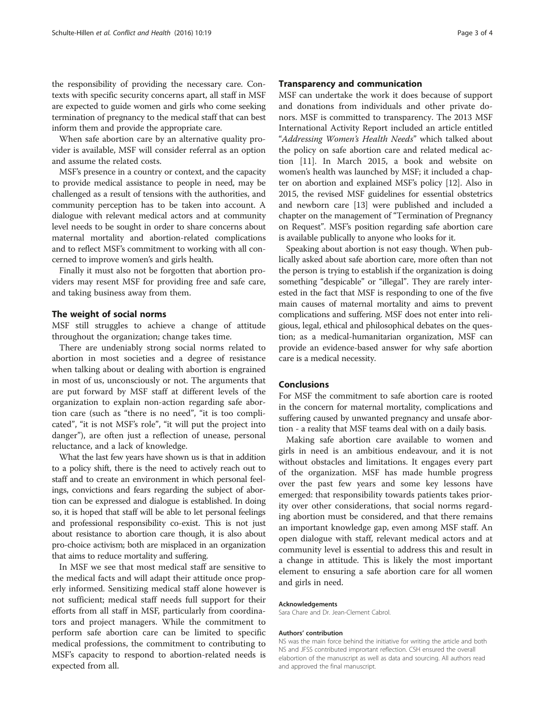the responsibility of providing the necessary care. Contexts with specific security concerns apart, all staff in MSF are expected to guide women and girls who come seeking termination of pregnancy to the medical staff that can best inform them and provide the appropriate care.

When safe abortion care by an alternative quality provider is available, MSF will consider referral as an option and assume the related costs.

MSF's presence in a country or context, and the capacity to provide medical assistance to people in need, may be challenged as a result of tensions with the authorities, and community perception has to be taken into account. A dialogue with relevant medical actors and at community level needs to be sought in order to share concerns about maternal mortality and abortion-related complications and to reflect MSF's commitment to working with all concerned to improve women's and girls health.

Finally it must also not be forgotten that abortion providers may resent MSF for providing free and safe care, and taking business away from them.

#### The weight of social norms

MSF still struggles to achieve a change of attitude throughout the organization; change takes time.

There are undeniably strong social norms related to abortion in most societies and a degree of resistance when talking about or dealing with abortion is engrained in most of us, unconsciously or not. The arguments that are put forward by MSF staff at different levels of the organization to explain non-action regarding safe abortion care (such as "there is no need", "it is too complicated", "it is not MSF's role", "it will put the project into danger"), are often just a reflection of unease, personal reluctance, and a lack of knowledge.

What the last few years have shown us is that in addition to a policy shift, there is the need to actively reach out to staff and to create an environment in which personal feelings, convictions and fears regarding the subject of abortion can be expressed and dialogue is established. In doing so, it is hoped that staff will be able to let personal feelings and professional responsibility co-exist. This is not just about resistance to abortion care though, it is also about pro-choice activism; both are misplaced in an organization that aims to reduce mortality and suffering.

In MSF we see that most medical staff are sensitive to the medical facts and will adapt their attitude once properly informed. Sensitizing medical staff alone however is not sufficient; medical staff needs full support for their efforts from all staff in MSF, particularly from coordinators and project managers. While the commitment to perform safe abortion care can be limited to specific medical professions, the commitment to contributing to MSF's capacity to respond to abortion-related needs is expected from all.

### Transparency and communication

MSF can undertake the work it does because of support and donations from individuals and other private donors. MSF is committed to transparency. The 2013 MSF International Activity Report included an article entitled "Addressing Women's Health Needs" which talked about the policy on safe abortion care and related medical action [[11\]](#page-3-0). In March 2015, a book and website on women's health was launched by MSF; it included a chapter on abortion and explained MSF's policy [\[12\]](#page-3-0). Also in 2015, the revised MSF guidelines for essential obstetrics and newborn care [[13](#page-3-0)] were published and included a chapter on the management of "Termination of Pregnancy on Request". MSF's position regarding safe abortion care is available publically to anyone who looks for it.

Speaking about abortion is not easy though. When publically asked about safe abortion care, more often than not the person is trying to establish if the organization is doing something "despicable" or "illegal". They are rarely interested in the fact that MSF is responding to one of the five main causes of maternal mortality and aims to prevent complications and suffering. MSF does not enter into religious, legal, ethical and philosophical debates on the question; as a medical-humanitarian organization, MSF can provide an evidence-based answer for why safe abortion care is a medical necessity.

## Conclusions

For MSF the commitment to safe abortion care is rooted in the concern for maternal mortality, complications and suffering caused by unwanted pregnancy and unsafe abortion - a reality that MSF teams deal with on a daily basis.

Making safe abortion care available to women and girls in need is an ambitious endeavour, and it is not without obstacles and limitations. It engages every part of the organization. MSF has made humble progress over the past few years and some key lessons have emerged: that responsibility towards patients takes priority over other considerations, that social norms regarding abortion must be considered, and that there remains an important knowledge gap, even among MSF staff. An open dialogue with staff, relevant medical actors and at community level is essential to address this and result in a change in attitude. This is likely the most important element to ensuring a safe abortion care for all women and girls in need.

#### Acknowledgements

Sara Chare and Dr. Jean-Clement Cabrol.

#### Authors' contribution

NS was the main force behind the initiative for writing the article and both NS and JFSS contributed imprortant reflection. CSH ensured the overall elabortion of the manuscript as well as data and sourcing. All authors read and approved the final manuscript.